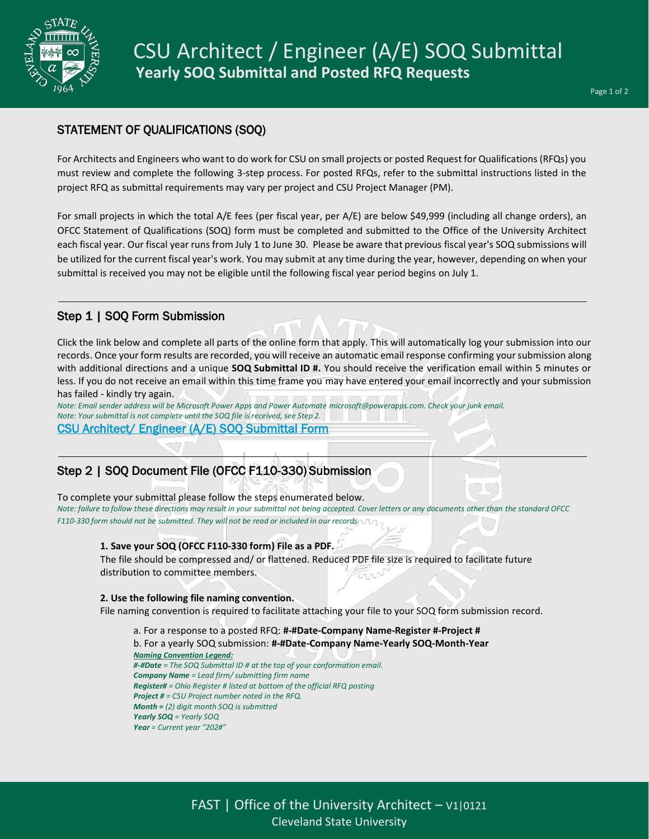

# STATEMENT OF QUALIFICATIONS (SOQ)

For Architects and Engineers who want to do work for CSU on small projects or posted Request for Qualifications (RFQs) you must review and complete the following 3-step process. For posted RFQs, refer to the submittal instructions listed in the project RFQ as submittal requirements may vary per project and CSU Project Manager (PM).

For small projects in which the total A/E fees (per fiscal year, per A/E) are below \$49,999 (including all change orders), an OFCC Statement of Qualifications (SOQ) form must be completed and submitted to the Office of the University Architect each fiscal year. Our fiscal year runs from July 1 to June 30. Please be aware that previous fiscal year's SOQ submissions will be utilized for the current fiscal year's work. You may submit at any time during the year, however, depending on when your submittal is received you may not be eligible until the following fiscal year period begins on July 1.

# Step 1 | SOQ Form Submission

Click the link below and complete all parts of the online form that apply. This will automatically log your submission into our records. Once your form results are recorded, you will receive an automatic email response confirming your submission along with additional directions and a unique **SOQ Submittal ID #.** You should receive the verification email within 5 minutes or less. If you do not receive an email within this time frame you may have entered your email incorrectly and your submission has failed - kindly try again.

*Note: Email sender address will be Microsoft Power Apps and Power Automate microsoft@powerapps.com. Check your junk email. Note: Your submittal is not complete until the SOQ file is received, see Step 2.* [CSU Architect/ Engineer \(A/E\) SOQ Submittal Form](https://forms.office.com/Pages/ResponsePage.aspx?id=mufz1z2UzkquqyCQMIB1CHidgdQJshxDtttzYiwO6EJUNFRSV01FSE1RVUhPM1BPMlQ1TDhCNE0wVCQlQCN0PWcu) 

# Step 2 | SOQ Document File (OFCC F110-330) Submission

To complete your submittal please follow the steps enumerated below.

*Note: failure to follow these directions may result in your submittal not being accepted. Cover letters or any documents other than the standard OFCC F110-330 form should not be submitted. They will not be read or included in our records.*

## **1. Save your SOQ (OFCC F110-330 form) File as a PDF.**

The file should be compressed and/ or flattened. Reduced PDF file size is required to facilitate future distribution to committee members.

## **2. Use the following file naming convention.**

File naming convention is required to facilitate attaching your file to your SOQ form submission record.

a. For a response to a posted RFQ: **#-#Date-Company Name-Register #-Project #** b. For a yearly SOQ submission: **#-#Date-Company Name-Yearly SOQ-Month-Year** *Naming Convention Legend: #-#Date = The SOQ Submittal ID # at the top of your conformation email. Company Name = Lead firm/ submitting firm name Register# = Ohio Register # listed at bottom of the official RFQ posting Project # = CSU Project number noted in the RFQ. Month = (2) digit month SOQ is submitted Yearly SOQ = Yearly SOQ Year = Current year "202#"*